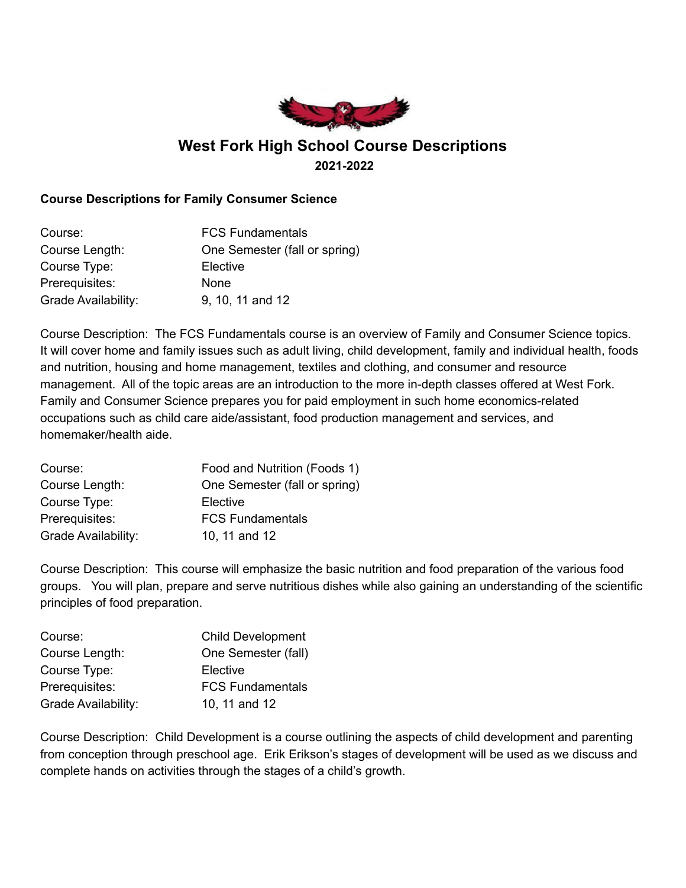

# **West Fork High School Course Descriptions 2021-2022**

## **Course Descriptions for Family Consumer Science**

| Course:             | <b>FCS Fundamentals</b>       |
|---------------------|-------------------------------|
| Course Length:      | One Semester (fall or spring) |
| Course Type:        | Elective                      |
| Prerequisites:      | <b>None</b>                   |
| Grade Availability: | 9, 10, 11 and 12              |

Course Description: The FCS Fundamentals course is an overview of Family and Consumer Science topics. It will cover home and family issues such as adult living, child development, family and individual health, foods and nutrition, housing and home management, textiles and clothing, and consumer and resource management. All of the topic areas are an introduction to the more in-depth classes offered at West Fork. Family and Consumer Science prepares you for paid employment in such home economics-related occupations such as child care aide/assistant, food production management and services, and homemaker/health aide.

| Course:             | Food and Nutrition (Foods 1)  |
|---------------------|-------------------------------|
| Course Length:      | One Semester (fall or spring) |
| Course Type:        | Elective                      |
| Prerequisites:      | <b>FCS Fundamentals</b>       |
| Grade Availability: | 10, 11 and 12                 |

Course Description: This course will emphasize the basic nutrition and food preparation of the various food groups. You will plan, prepare and serve nutritious dishes while also gaining an understanding of the scientific principles of food preparation.

| Course:             | <b>Child Development</b> |
|---------------------|--------------------------|
| Course Length:      | One Semester (fall)      |
| Course Type:        | Elective                 |
| Prerequisites:      | <b>FCS Fundamentals</b>  |
| Grade Availability: | 10, 11 and 12            |

Course Description: Child Development is a course outlining the aspects of child development and parenting from conception through preschool age. Erik Erikson's stages of development will be used as we discuss and complete hands on activities through the stages of a child's growth.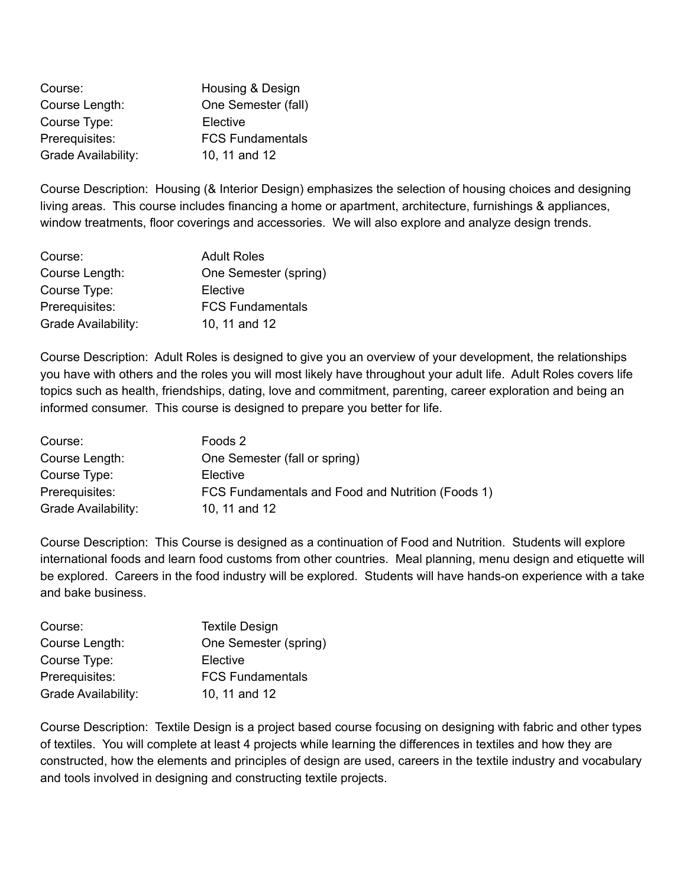| Course:             | Housing & Design        |
|---------------------|-------------------------|
| Course Length:      | One Semester (fall)     |
| Course Type:        | Elective                |
| Prerequisites:      | <b>FCS Fundamentals</b> |
| Grade Availability: | 10, 11 and 12           |

Course Description: Housing (& Interior Design) emphasizes the selection of housing choices and designing living areas. This course includes financing a home or apartment, architecture, furnishings & appliances, window treatments, floor coverings and accessories. We will also explore and analyze design trends.

| Course:                    | <b>Adult Roles</b>      |
|----------------------------|-------------------------|
| Course Length:             | One Semester (spring)   |
| Course Type:               | Elective                |
| Prerequisites:             | <b>FCS Fundamentals</b> |
| <b>Grade Availability:</b> | 10, 11 and 12           |

Course Description: Adult Roles is designed to give you an overview of your development, the relationships you have with others and the roles you will most likely have throughout your adult life. Adult Roles covers life topics such as health, friendships, dating, love and commitment, parenting, career exploration and being an informed consumer. This course is designed to prepare you better for life.

| Course:             | Foods 2                                           |
|---------------------|---------------------------------------------------|
| Course Length:      | One Semester (fall or spring)                     |
| Course Type:        | Elective                                          |
| Prerequisites:      | FCS Fundamentals and Food and Nutrition (Foods 1) |
| Grade Availability: | 10, 11 and 12                                     |

Course Description: This Course is designed as a continuation of Food and Nutrition. Students will explore international foods and learn food customs from other countries. Meal planning, menu design and etiquette will be explored. Careers in the food industry will be explored. Students will have hands-on experience with a take and bake business.

| Course:             | <b>Textile Design</b>   |
|---------------------|-------------------------|
| Course Length:      | One Semester (spring)   |
| Course Type:        | Elective                |
| Prerequisites:      | <b>FCS Fundamentals</b> |
| Grade Availability: | 10, 11 and 12           |

Course Description: Textile Design is a project based course focusing on designing with fabric and other types of textiles. You will complete at least 4 projects while learning the differences in textiles and how they are constructed, how the elements and principles of design are used, careers in the textile industry and vocabulary and tools involved in designing and constructing textile projects.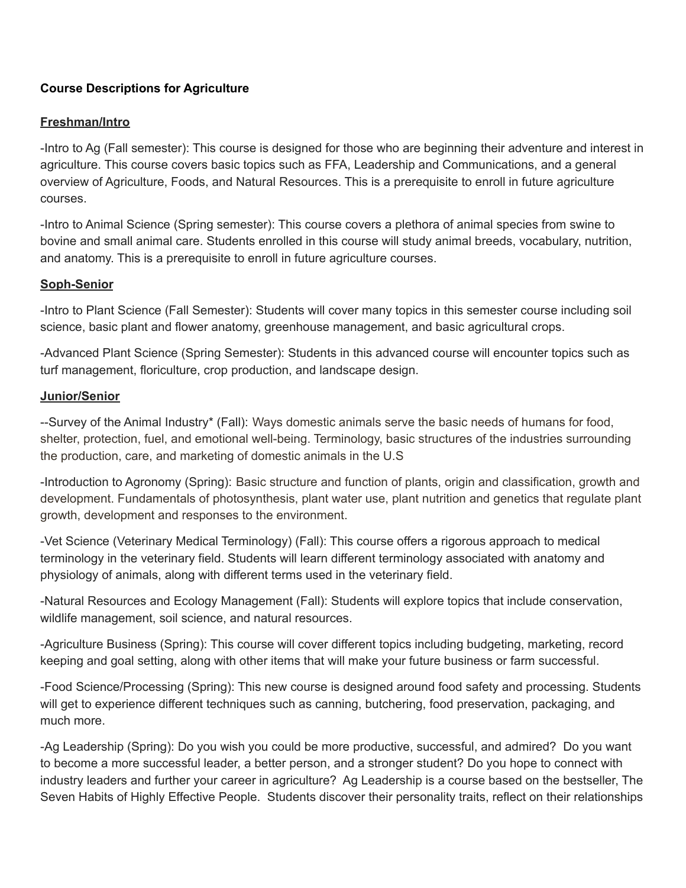## **Course Descriptions for Agriculture**

## **Freshman/Intro**

-Intro to Ag (Fall semester): This course is designed for those who are beginning their adventure and interest in agriculture. This course covers basic topics such as FFA, Leadership and Communications, and a general overview of Agriculture, Foods, and Natural Resources. This is a prerequisite to enroll in future agriculture courses.

-Intro to Animal Science (Spring semester): This course covers a plethora of animal species from swine to bovine and small animal care. Students enrolled in this course will study animal breeds, vocabulary, nutrition, and anatomy. This is a prerequisite to enroll in future agriculture courses.

## **Soph-Senior**

-Intro to Plant Science (Fall Semester): Students will cover many topics in this semester course including soil science, basic plant and flower anatomy, greenhouse management, and basic agricultural crops.

-Advanced Plant Science (Spring Semester): Students in this advanced course will encounter topics such as turf management, floriculture, crop production, and landscape design.

### **Junior/Senior**

--Survey of the Animal Industry\* (Fall): Ways domestic animals serve the basic needs of humans for food, shelter, protection, fuel, and emotional well-being. Terminology, basic structures of the industries surrounding the production, care, and marketing of domestic animals in the U.S

-Introduction to Agronomy (Spring): Basic structure and function of plants, origin and classification, growth and development. Fundamentals of photosynthesis, plant water use, plant nutrition and genetics that regulate plant growth, development and responses to the environment.

-Vet Science (Veterinary Medical Terminology) (Fall): This course offers a rigorous approach to medical terminology in the veterinary field. Students will learn different terminology associated with anatomy and physiology of animals, along with different terms used in the veterinary field.

-Natural Resources and Ecology Management (Fall): Students will explore topics that include conservation, wildlife management, soil science, and natural resources.

-Agriculture Business (Spring): This course will cover different topics including budgeting, marketing, record keeping and goal setting, along with other items that will make your future business or farm successful.

-Food Science/Processing (Spring): This new course is designed around food safety and processing. Students will get to experience different techniques such as canning, butchering, food preservation, packaging, and much more.

-Ag Leadership (Spring): Do you wish you could be more productive, successful, and admired? Do you want to become a more successful leader, a better person, and a stronger student? Do you hope to connect with industry leaders and further your career in agriculture? Ag Leadership is a course based on the bestseller, The Seven Habits of Highly Effective People. Students discover their personality traits, reflect on their relationships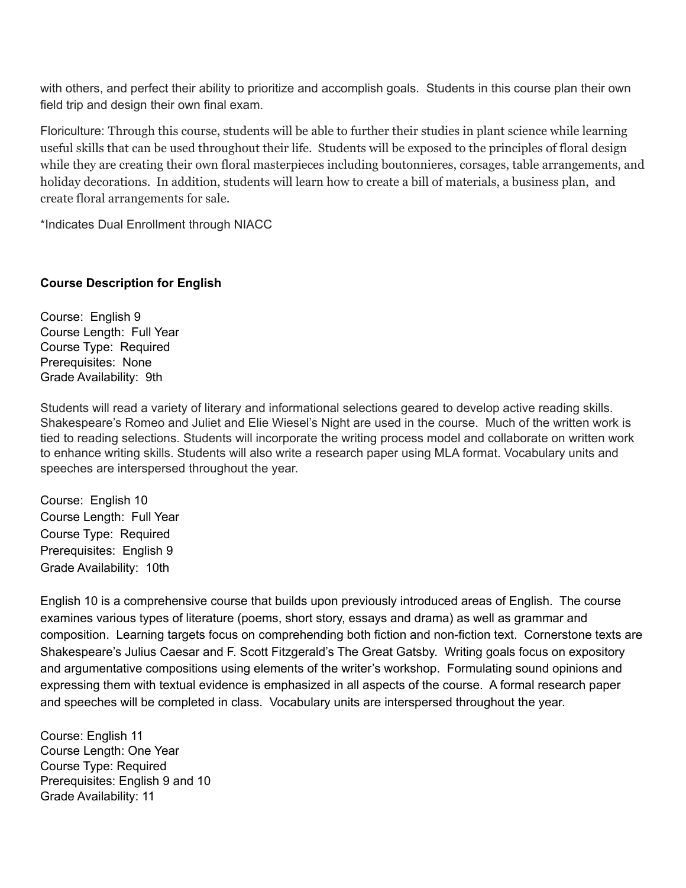with others, and perfect their ability to prioritize and accomplish goals. Students in this course plan their own field trip and design their own final exam.

Floriculture: Through this course, students will be able to further their studies in plant science while learning useful skills that can be used throughout their life. Students will be exposed to the principles of floral design while they are creating their own floral masterpieces including boutonnieres, corsages, table arrangements, and holiday decorations. In addition, students will learn how to create a bill of materials, a business plan, and create floral arrangements for sale.

\*Indicates Dual Enrollment through NIACC

## **Course Description for English**

Course: English 9 Course Length: Full Year Course Type: Required Prerequisites: None Grade Availability: 9th

Students will read a variety of literary and informational selections geared to develop active reading skills. Shakespeare's Romeo and Juliet and Elie Wiesel's Night are used in the course. Much of the written work is tied to reading selections. Students will incorporate the writing process model and collaborate on written work to enhance writing skills. Students will also write a research paper using MLA format. Vocabulary units and speeches are interspersed throughout the year.

Course: English 10 Course Length: Full Year Course Type: Required Prerequisites: English 9 Grade Availability: 10th

English 10 is a comprehensive course that builds upon previously introduced areas of English. The course examines various types of literature (poems, short story, essays and drama) as well as grammar and composition. Learning targets focus on comprehending both fiction and non-fiction text. Cornerstone texts are Shakespeare's Julius Caesar and F. Scott Fitzgerald's The Great Gatsby. Writing goals focus on expository and argumentative compositions using elements of the writer's workshop. Formulating sound opinions and expressing them with textual evidence is emphasized in all aspects of the course. A formal research paper and speeches will be completed in class. Vocabulary units are interspersed throughout the year.

Course: English 11 Course Length: One Year Course Type: Required Prerequisites: English 9 and 10 Grade Availability: 11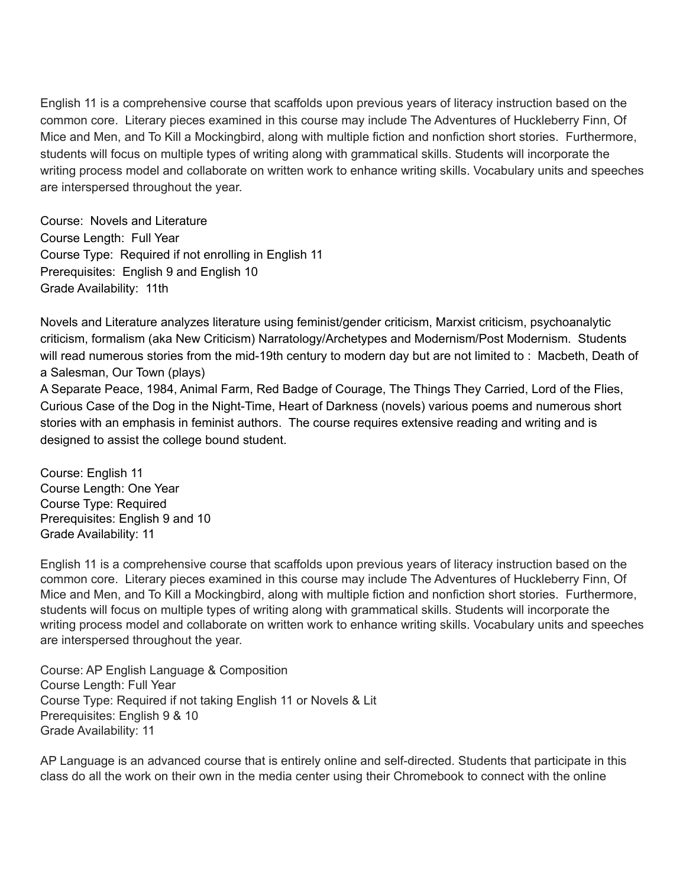English 11 is a comprehensive course that scaffolds upon previous years of literacy instruction based on the common core. Literary pieces examined in this course may include The Adventures of Huckleberry Finn, Of Mice and Men, and To Kill a Mockingbird, along with multiple fiction and nonfiction short stories. Furthermore, students will focus on multiple types of writing along with grammatical skills. Students will incorporate the writing process model and collaborate on written work to enhance writing skills. Vocabulary units and speeches are interspersed throughout the year.

Course: Novels and Literature Course Length: Full Year Course Type: Required if not enrolling in English 11 Prerequisites: English 9 and English 10 Grade Availability: 11th

Novels and Literature analyzes literature using feminist/gender criticism, Marxist criticism, psychoanalytic criticism, formalism (aka New Criticism) Narratology/Archetypes and Modernism/Post Modernism. Students will read numerous stories from the mid-19th century to modern day but are not limited to : Macbeth, Death of a Salesman, Our Town (plays)

A Separate Peace, 1984, Animal Farm, Red Badge of Courage, The Things They Carried, Lord of the Flies, Curious Case of the Dog in the Night-Time, Heart of Darkness (novels) various poems and numerous short stories with an emphasis in feminist authors. The course requires extensive reading and writing and is designed to assist the college bound student.

Course: English 11 Course Length: One Year Course Type: Required Prerequisites: English 9 and 10 Grade Availability: 11

English 11 is a comprehensive course that scaffolds upon previous years of literacy instruction based on the common core. Literary pieces examined in this course may include The Adventures of Huckleberry Finn, Of Mice and Men, and To Kill a Mockingbird, along with multiple fiction and nonfiction short stories. Furthermore, students will focus on multiple types of writing along with grammatical skills. Students will incorporate the writing process model and collaborate on written work to enhance writing skills. Vocabulary units and speeches are interspersed throughout the year.

Course: AP English Language & Composition Course Length: Full Year Course Type: Required if not taking English 11 or Novels & Lit Prerequisites: English 9 & 10 Grade Availability: 11

AP Language is an advanced course that is entirely online and self-directed. Students that participate in this class do all the work on their own in the media center using their Chromebook to connect with the online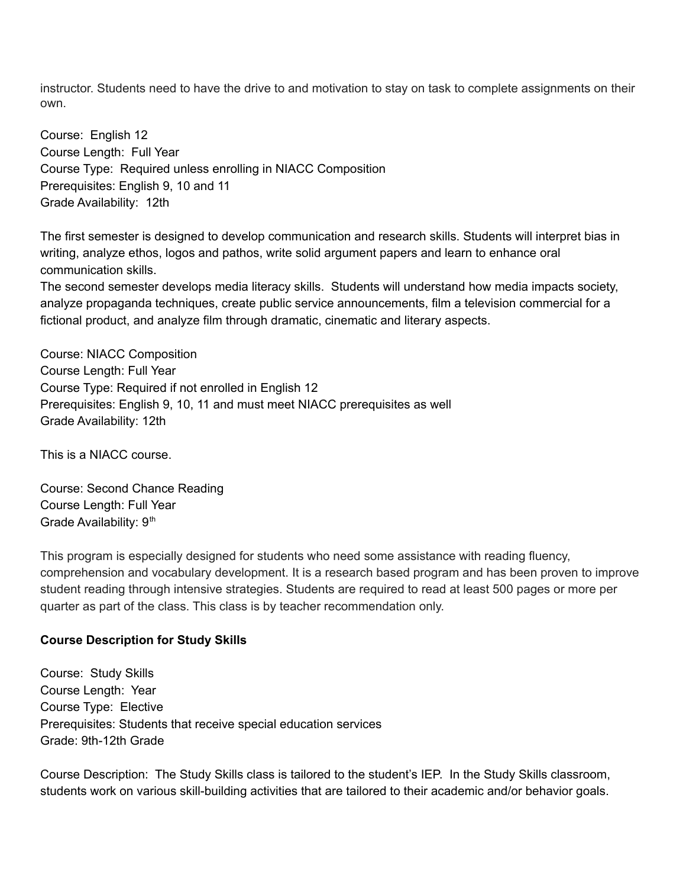instructor. Students need to have the drive to and motivation to stay on task to complete assignments on their own.

Course: English 12 Course Length: Full Year Course Type: Required unless enrolling in NIACC Composition Prerequisites: English 9, 10 and 11 Grade Availability: 12th

The first semester is designed to develop communication and research skills. Students will interpret bias in writing, analyze ethos, logos and pathos, write solid argument papers and learn to enhance oral communication skills.

The second semester develops media literacy skills. Students will understand how media impacts society, analyze propaganda techniques, create public service announcements, film a television commercial for a fictional product, and analyze film through dramatic, cinematic and literary aspects.

Course: NIACC Composition Course Length: Full Year Course Type: Required if not enrolled in English 12 Prerequisites: English 9, 10, 11 and must meet NIACC prerequisites as well Grade Availability: 12th

This is a NIACC course.

Course: Second Chance Reading Course Length: Full Year Grade Availability: 9<sup>th</sup>

This program is especially designed for students who need some assistance with reading fluency, comprehension and vocabulary development. It is a research based program and has been proven to improve student reading through intensive strategies. Students are required to read at least 500 pages or more per quarter as part of the class. This class is by teacher recommendation only.

## **Course Description for Study Skills**

Course: Study Skills Course Length: Year Course Type: Elective Prerequisites: Students that receive special education services Grade: 9th-12th Grade

Course Description: The Study Skills class is tailored to the student's IEP. In the Study Skills classroom, students work on various skill-building activities that are tailored to their academic and/or behavior goals.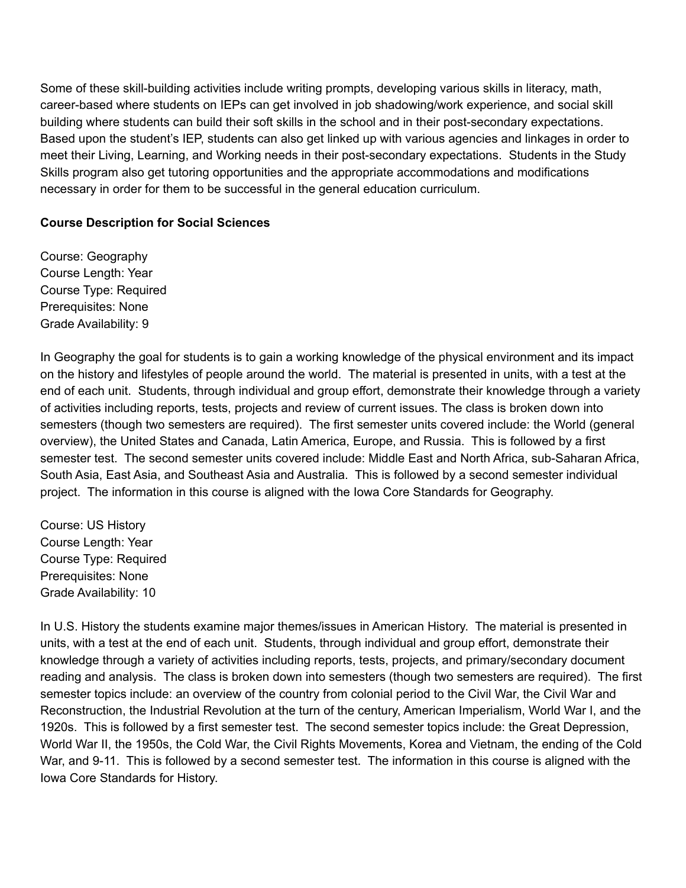Some of these skill-building activities include writing prompts, developing various skills in literacy, math, career-based where students on IEPs can get involved in job shadowing/work experience, and social skill building where students can build their soft skills in the school and in their post-secondary expectations. Based upon the student's IEP, students can also get linked up with various agencies and linkages in order to meet their Living, Learning, and Working needs in their post-secondary expectations. Students in the Study Skills program also get tutoring opportunities and the appropriate accommodations and modifications necessary in order for them to be successful in the general education curriculum.

## **Course Description for Social Sciences**

Course: Geography Course Length: Year Course Type: Required Prerequisites: None Grade Availability: 9

In Geography the goal for students is to gain a working knowledge of the physical environment and its impact on the history and lifestyles of people around the world. The material is presented in units, with a test at the end of each unit. Students, through individual and group effort, demonstrate their knowledge through a variety of activities including reports, tests, projects and review of current issues. The class is broken down into semesters (though two semesters are required). The first semester units covered include: the World (general overview), the United States and Canada, Latin America, Europe, and Russia. This is followed by a first semester test. The second semester units covered include: Middle East and North Africa, sub-Saharan Africa, South Asia, East Asia, and Southeast Asia and Australia. This is followed by a second semester individual project. The information in this course is aligned with the Iowa Core Standards for Geography.

Course: US History Course Length: Year Course Type: Required Prerequisites: None Grade Availability: 10

In U.S. History the students examine major themes/issues in American History. The material is presented in units, with a test at the end of each unit. Students, through individual and group effort, demonstrate their knowledge through a variety of activities including reports, tests, projects, and primary/secondary document reading and analysis. The class is broken down into semesters (though two semesters are required). The first semester topics include: an overview of the country from colonial period to the Civil War, the Civil War and Reconstruction, the Industrial Revolution at the turn of the century, American Imperialism, World War I, and the 1920s. This is followed by a first semester test. The second semester topics include: the Great Depression, World War II, the 1950s, the Cold War, the Civil Rights Movements, Korea and Vietnam, the ending of the Cold War, and 9-11. This is followed by a second semester test. The information in this course is aligned with the Iowa Core Standards for History.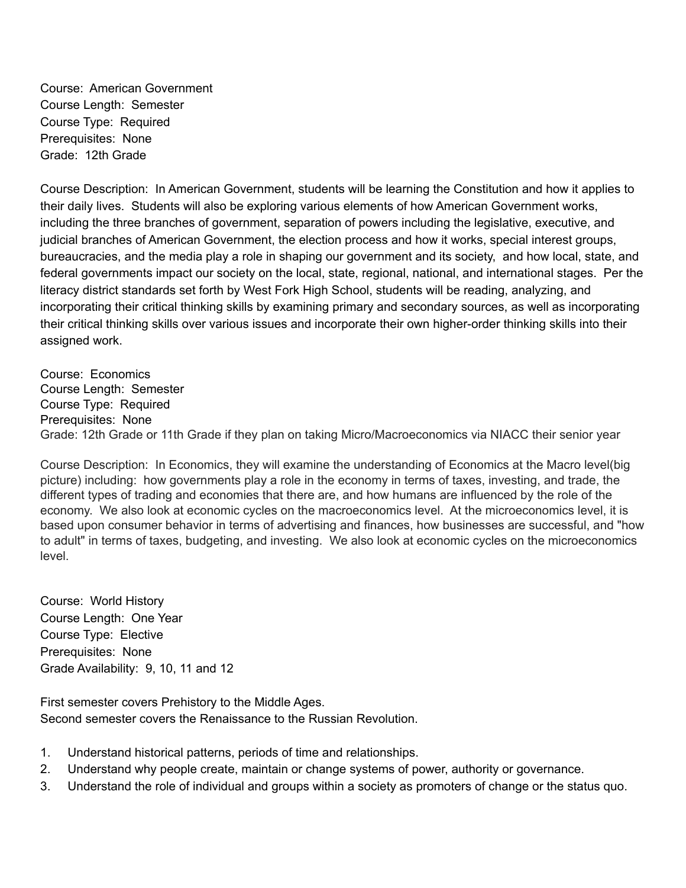Course: American Government Course Length: Semester Course Type: Required Prerequisites: None Grade: 12th Grade

Course Description: In American Government, students will be learning the Constitution and how it applies to their daily lives. Students will also be exploring various elements of how American Government works, including the three branches of government, separation of powers including the legislative, executive, and judicial branches of American Government, the election process and how it works, special interest groups, bureaucracies, and the media play a role in shaping our government and its society, and how local, state, and federal governments impact our society on the local, state, regional, national, and international stages. Per the literacy district standards set forth by West Fork High School, students will be reading, analyzing, and incorporating their critical thinking skills by examining primary and secondary sources, as well as incorporating their critical thinking skills over various issues and incorporate their own higher-order thinking skills into their assigned work.

Course: Economics Course Length: Semester Course Type: Required Prerequisites: None Grade: 12th Grade or 11th Grade if they plan on taking Micro/Macroeconomics via NIACC their senior year

Course Description: In Economics, they will examine the understanding of Economics at the Macro level(big picture) including: how governments play a role in the economy in terms of taxes, investing, and trade, the different types of trading and economies that there are, and how humans are influenced by the role of the economy. We also look at economic cycles on the macroeconomics level. At the microeconomics level, it is based upon consumer behavior in terms of advertising and finances, how businesses are successful, and "how to adult" in terms of taxes, budgeting, and investing. We also look at economic cycles on the microeconomics level.

Course: World History Course Length: One Year Course Type: Elective Prerequisites: None Grade Availability: 9, 10, 11 and 12

First semester covers Prehistory to the Middle Ages. Second semester covers the Renaissance to the Russian Revolution.

- 1. Understand historical patterns, periods of time and relationships.
- 2. Understand why people create, maintain or change systems of power, authority or governance.
- 3. Understand the role of individual and groups within a society as promoters of change or the status quo.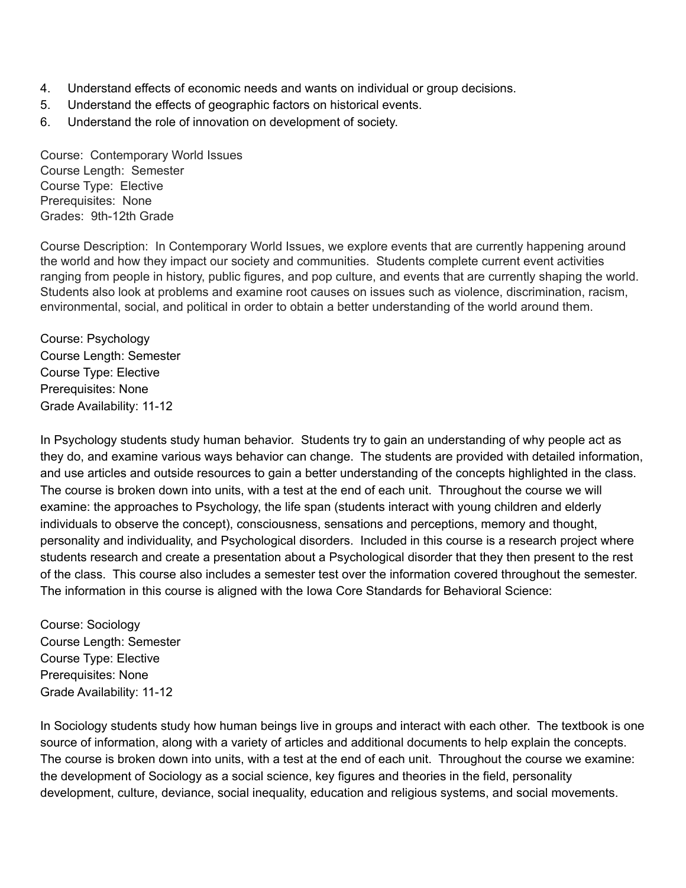- 4. Understand effects of economic needs and wants on individual or group decisions.
- 5. Understand the effects of geographic factors on historical events.
- 6. Understand the role of innovation on development of society.

Course: Contemporary World Issues Course Length: Semester Course Type: Elective Prerequisites: None Grades: 9th-12th Grade

Course Description: In Contemporary World Issues, we explore events that are currently happening around the world and how they impact our society and communities. Students complete current event activities ranging from people in history, public figures, and pop culture, and events that are currently shaping the world. Students also look at problems and examine root causes on issues such as violence, discrimination, racism, environmental, social, and political in order to obtain a better understanding of the world around them.

Course: Psychology Course Length: Semester Course Type: Elective Prerequisites: None Grade Availability: 11-12

In Psychology students study human behavior. Students try to gain an understanding of why people act as they do, and examine various ways behavior can change. The students are provided with detailed information, and use articles and outside resources to gain a better understanding of the concepts highlighted in the class. The course is broken down into units, with a test at the end of each unit. Throughout the course we will examine: the approaches to Psychology, the life span (students interact with young children and elderly individuals to observe the concept), consciousness, sensations and perceptions, memory and thought, personality and individuality, and Psychological disorders. Included in this course is a research project where students research and create a presentation about a Psychological disorder that they then present to the rest of the class. This course also includes a semester test over the information covered throughout the semester. The information in this course is aligned with the Iowa Core Standards for Behavioral Science:

Course: Sociology Course Length: Semester Course Type: Elective Prerequisites: None Grade Availability: 11-12

In Sociology students study how human beings live in groups and interact with each other. The textbook is one source of information, along with a variety of articles and additional documents to help explain the concepts. The course is broken down into units, with a test at the end of each unit. Throughout the course we examine: the development of Sociology as a social science, key figures and theories in the field, personality development, culture, deviance, social inequality, education and religious systems, and social movements.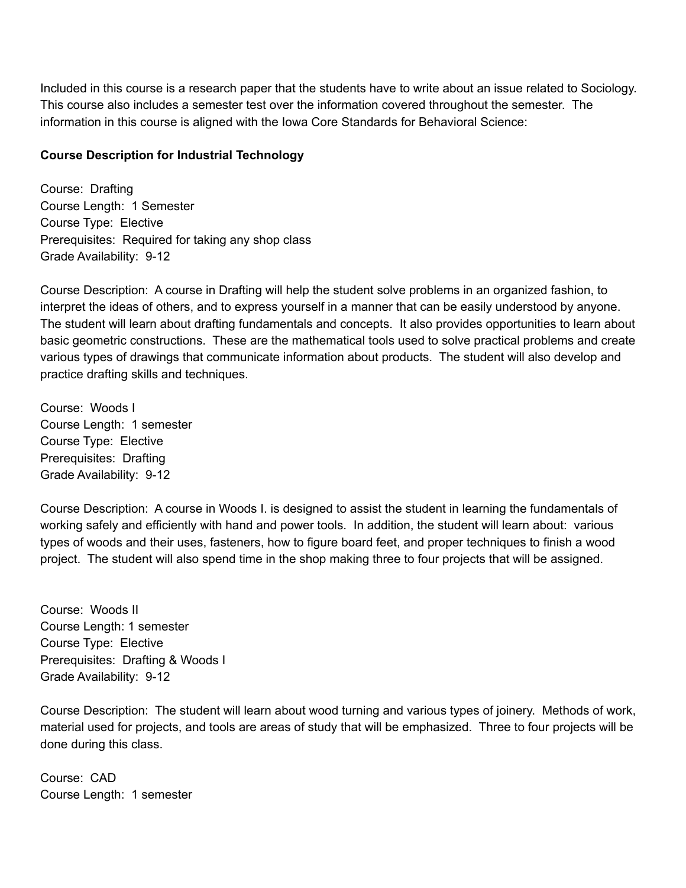Included in this course is a research paper that the students have to write about an issue related to Sociology. This course also includes a semester test over the information covered throughout the semester. The information in this course is aligned with the Iowa Core Standards for Behavioral Science:

## **Course Description for Industrial Technology**

Course: Drafting Course Length: 1 Semester Course Type: Elective Prerequisites: Required for taking any shop class Grade Availability: 9-12

Course Description: A course in Drafting will help the student solve problems in an organized fashion, to interpret the ideas of others, and to express yourself in a manner that can be easily understood by anyone. The student will learn about drafting fundamentals and concepts. It also provides opportunities to learn about basic geometric constructions. These are the mathematical tools used to solve practical problems and create various types of drawings that communicate information about products. The student will also develop and practice drafting skills and techniques.

Course: Woods I Course Length: 1 semester Course Type: Elective Prerequisites: Drafting Grade Availability: 9-12

Course Description: A course in Woods I. is designed to assist the student in learning the fundamentals of working safely and efficiently with hand and power tools. In addition, the student will learn about: various types of woods and their uses, fasteners, how to figure board feet, and proper techniques to finish a wood project. The student will also spend time in the shop making three to four projects that will be assigned.

Course: Woods II Course Length: 1 semester Course Type: Elective Prerequisites: Drafting & Woods I Grade Availability: 9-12

Course Description: The student will learn about wood turning and various types of joinery. Methods of work, material used for projects, and tools are areas of study that will be emphasized. Three to four projects will be done during this class.

Course: CAD Course Length: 1 semester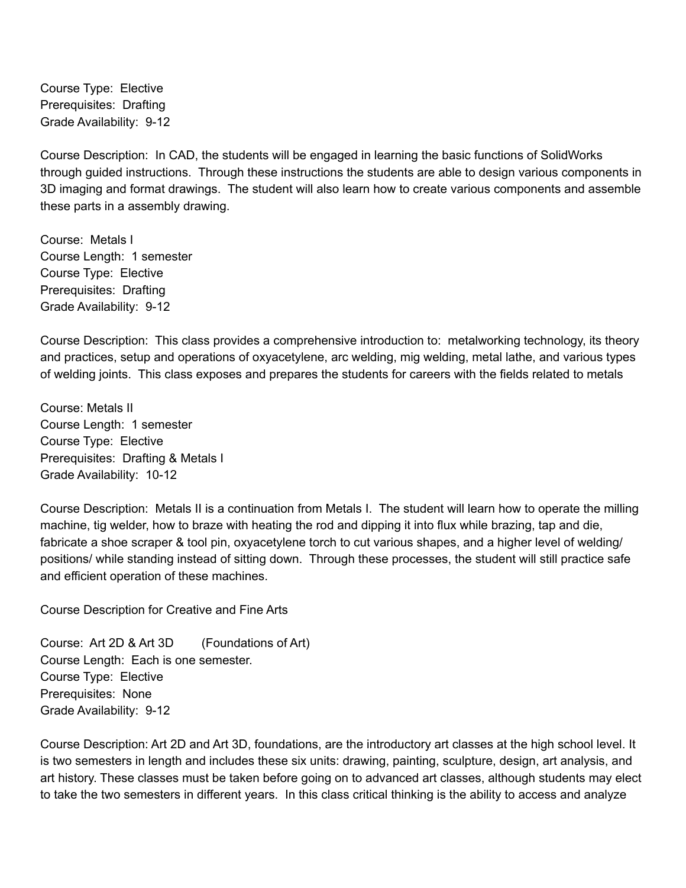Course Type: Elective Prerequisites: Drafting Grade Availability: 9-12

Course Description: In CAD, the students will be engaged in learning the basic functions of SolidWorks through guided instructions. Through these instructions the students are able to design various components in 3D imaging and format drawings. The student will also learn how to create various components and assemble these parts in a assembly drawing.

Course: Metals I Course Length: 1 semester Course Type: Elective Prerequisites: Drafting Grade Availability: 9-12

Course Description: This class provides a comprehensive introduction to: metalworking technology, its theory and practices, setup and operations of oxyacetylene, arc welding, mig welding, metal lathe, and various types of welding joints. This class exposes and prepares the students for careers with the fields related to metals

Course: Metals II Course Length: 1 semester Course Type: Elective Prerequisites: Drafting & Metals I Grade Availability: 10-12

Course Description: Metals II is a continuation from Metals I. The student will learn how to operate the milling machine, tig welder, how to braze with heating the rod and dipping it into flux while brazing, tap and die, fabricate a shoe scraper & tool pin, oxyacetylene torch to cut various shapes, and a higher level of welding/ positions/ while standing instead of sitting down. Through these processes, the student will still practice safe and efficient operation of these machines.

Course Description for Creative and Fine Arts

Course: Art 2D & Art 3D (Foundations of Art) Course Length: Each is one semester. Course Type: Elective Prerequisites: None Grade Availability: 9-12

Course Description: Art 2D and Art 3D, foundations, are the introductory art classes at the high school level. It is two semesters in length and includes these six units: drawing, painting, sculpture, design, art analysis, and art history. These classes must be taken before going on to advanced art classes, although students may elect to take the two semesters in different years. In this class critical thinking is the ability to access and analyze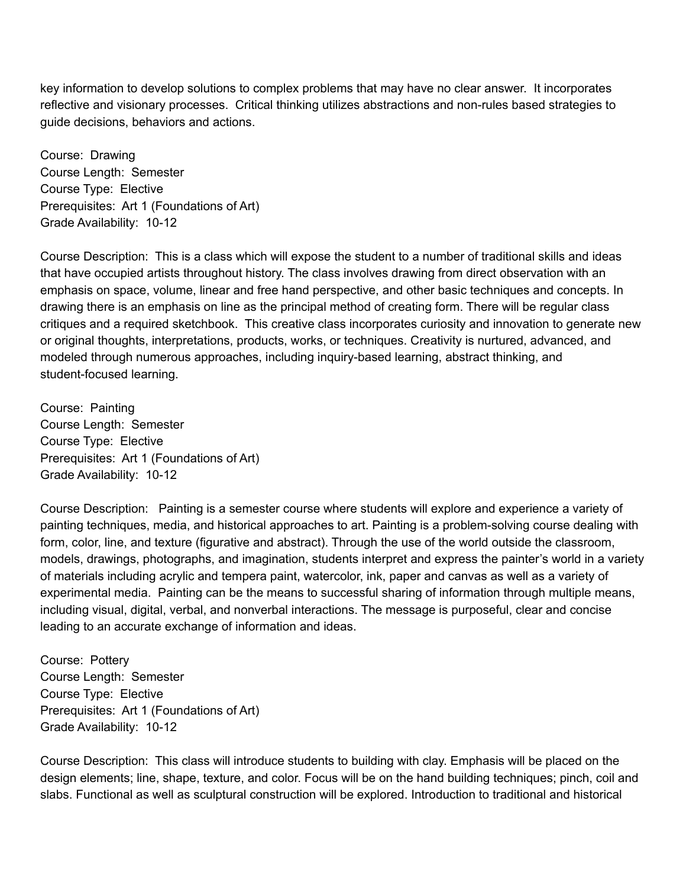key information to develop solutions to complex problems that may have no clear answer. It incorporates reflective and visionary processes. Critical thinking utilizes abstractions and non-rules based strategies to guide decisions, behaviors and actions.

Course: Drawing Course Length: Semester Course Type: Elective Prerequisites: Art 1 (Foundations of Art) Grade Availability: 10-12

Course Description: This is a class which will expose the student to a number of traditional skills and ideas that have occupied artists throughout history. The class involves drawing from direct observation with an emphasis on space, volume, linear and free hand perspective, and other basic techniques and concepts. In drawing there is an emphasis on line as the principal method of creating form. There will be regular class critiques and a required sketchbook. This creative class incorporates curiosity and innovation to generate new or original thoughts, interpretations, products, works, or techniques. Creativity is nurtured, advanced, and modeled through numerous approaches, including inquiry-based learning, abstract thinking, and student-focused learning.

Course: Painting Course Length: Semester Course Type: Elective Prerequisites: Art 1 (Foundations of Art) Grade Availability: 10-12

Course Description: Painting is a semester course where students will explore and experience a variety of painting techniques, media, and historical approaches to art. Painting is a problem-solving course dealing with form, color, line, and texture (figurative and abstract). Through the use of the world outside the classroom, models, drawings, photographs, and imagination, students interpret and express the painter's world in a variety of materials including acrylic and tempera paint, watercolor, ink, paper and canvas as well as a variety of experimental media. Painting can be the means to successful sharing of information through multiple means, including visual, digital, verbal, and nonverbal interactions. The message is purposeful, clear and concise leading to an accurate exchange of information and ideas.

Course: Pottery Course Length: Semester Course Type: Elective Prerequisites: Art 1 (Foundations of Art) Grade Availability: 10-12

Course Description: This class will introduce students to building with clay. Emphasis will be placed on the design elements; line, shape, texture, and color. Focus will be on the hand building techniques; pinch, coil and slabs. Functional as well as sculptural construction will be explored. Introduction to traditional and historical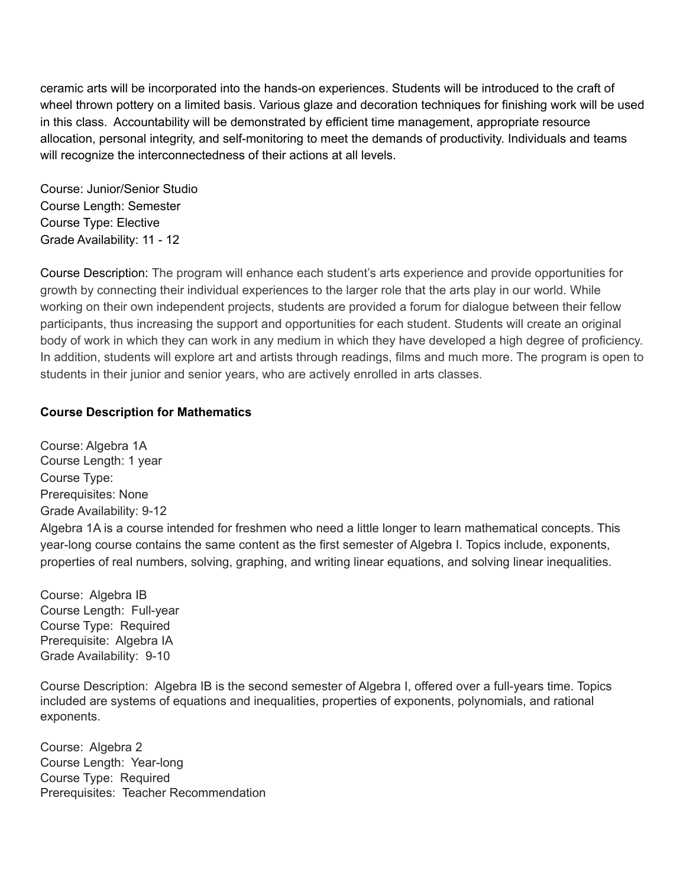ceramic arts will be incorporated into the hands-on experiences. Students will be introduced to the craft of wheel thrown pottery on a limited basis. Various glaze and decoration techniques for finishing work will be used in this class. Accountability will be demonstrated by efficient time management, appropriate resource allocation, personal integrity, and self-monitoring to meet the demands of productivity. Individuals and teams will recognize the interconnectedness of their actions at all levels.

Course: Junior/Senior Studio Course Length: Semester Course Type: Elective Grade Availability: 11 - 12

Course Description: The program will enhance each student's arts experience and provide opportunities for growth by connecting their individual experiences to the larger role that the arts play in our world. While working on their own independent projects, students are provided a forum for dialogue between their fellow participants, thus increasing the support and opportunities for each student. Students will create an original body of work in which they can work in any medium in which they have developed a high degree of proficiency. In addition, students will explore art and artists through readings, films and much more. The program is open to students in their junior and senior years, who are actively enrolled in arts classes.

## **Course Description for Mathematics**

Course: Algebra 1A Course Length: 1 year Course Type: Prerequisites: None Grade Availability: 9-12 Algebra 1A is a course intended for freshmen who need a little longer to learn mathematical concepts. This year-long course contains the same content as the first semester of Algebra I. Topics include, exponents, properties of real numbers, solving, graphing, and writing linear equations, and solving linear inequalities.

Course: Algebra IB Course Length: Full-year Course Type: Required Prerequisite: Algebra IA Grade Availability: 9-10

Course Description: Algebra IB is the second semester of Algebra I, offered over a full-years time. Topics included are systems of equations and inequalities, properties of exponents, polynomials, and rational exponents.

Course: Algebra 2 Course Length: Year-long Course Type: Required Prerequisites: Teacher Recommendation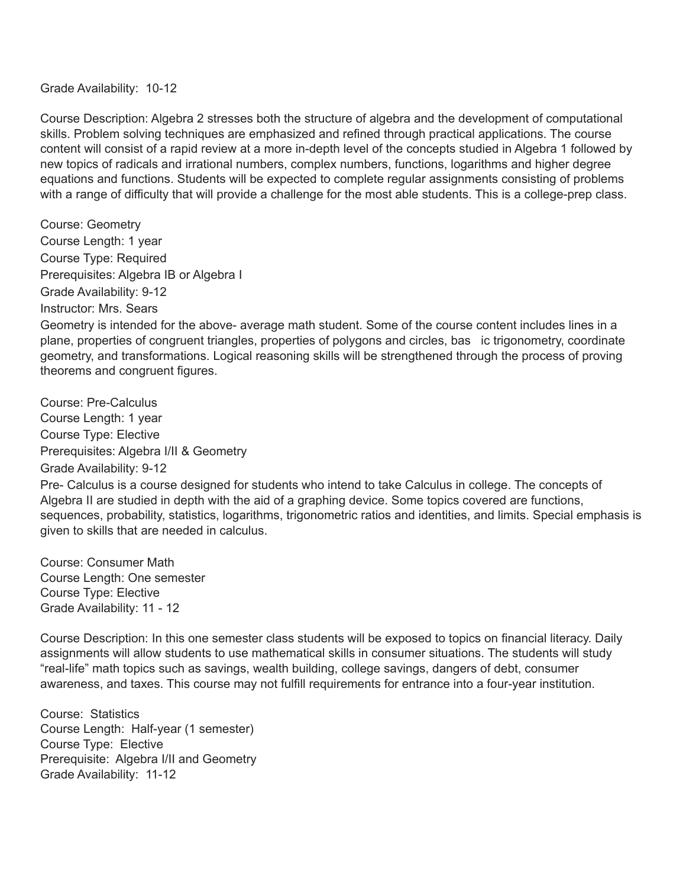Grade Availability: 10-12

Course Description: Algebra 2 stresses both the structure of algebra and the development of computational skills. Problem solving techniques are emphasized and refined through practical applications. The course content will consist of a rapid review at a more in-depth level of the concepts studied in Algebra 1 followed by new topics of radicals and irrational numbers, complex numbers, functions, logarithms and higher degree equations and functions. Students will be expected to complete regular assignments consisting of problems with a range of difficulty that will provide a challenge for the most able students. This is a college-prep class.

Course: Geometry Course Length: 1 year Course Type: Required Prerequisites: Algebra IB or Algebra I Grade Availability: 9-12 Instructor: Mrs. Sears

Geometry is intended for the above- average math student. Some of the course content includes lines in a plane, properties of congruent triangles, properties of polygons and circles, bas ic trigonometry, coordinate geometry, and transformations. Logical reasoning skills will be strengthened through the process of proving theorems and congruent figures.

Course: Pre-Calculus Course Length: 1 year Course Type: Elective Prerequisites: Algebra I/II & Geometry Grade Availability: 9-12

Pre- Calculus is a course designed for students who intend to take Calculus in college. The concepts of Algebra II are studied in depth with the aid of a graphing device. Some topics covered are functions, sequences, probability, statistics, logarithms, trigonometric ratios and identities, and limits. Special emphasis is given to skills that are needed in calculus.

Course: Consumer Math Course Length: One semester Course Type: Elective Grade Availability: 11 - 12

Course Description: In this one semester class students will be exposed to topics on financial literacy. Daily assignments will allow students to use mathematical skills in consumer situations. The students will study "real-life" math topics such as savings, wealth building, college savings, dangers of debt, consumer awareness, and taxes. This course may not fulfill requirements for entrance into a four-year institution.

Course: Statistics Course Length: Half-year (1 semester) Course Type: Elective Prerequisite: Algebra I/II and Geometry Grade Availability: 11-12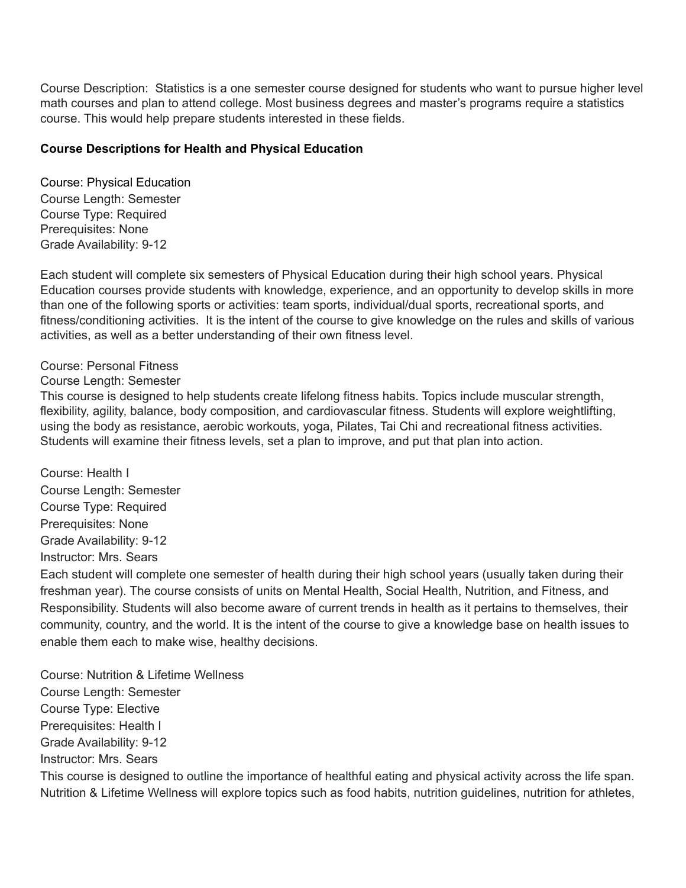Course Description: Statistics is a one semester course designed for students who want to pursue higher level math courses and plan to attend college. Most business degrees and master's programs require a statistics course. This would help prepare students interested in these fields.

### **Course Descriptions for Health and Physical Education**

Course: Physical Education Course Length: Semester Course Type: Required Prerequisites: None Grade Availability: 9-12

Each student will complete six semesters of Physical Education during their high school years. Physical Education courses provide students with knowledge, experience, and an opportunity to develop skills in more than one of the following sports or activities: team sports, individual/dual sports, recreational sports, and fitness/conditioning activities. It is the intent of the course to give knowledge on the rules and skills of various activities, as well as a better understanding of their own fitness level.

## Course: Personal Fitness

### Course Length: Semester

This course is designed to help students create lifelong fitness habits. Topics include muscular strength, flexibility, agility, balance, body composition, and cardiovascular fitness. Students will explore weightlifting, using the body as resistance, aerobic workouts, yoga, Pilates, Tai Chi and recreational fitness activities. Students will examine their fitness levels, set a plan to improve, and put that plan into action.

Course: Health I Course Length: Semester Course Type: Required Prerequisites: None Grade Availability: 9-12 Instructor: Mrs. Sears

Each student will complete one semester of health during their high school years (usually taken during their freshman year). The course consists of units on Mental Health, Social Health, Nutrition, and Fitness, and Responsibility. Students will also become aware of current trends in health as it pertains to themselves, their community, country, and the world. It is the intent of the course to give a knowledge base on health issues to enable them each to make wise, healthy decisions.

Course: Nutrition & Lifetime Wellness Course Length: Semester Course Type: Elective Prerequisites: Health I Grade Availability: 9-12 Instructor: Mrs. Sears This course is designed to outline the importance of healthful eating and physical activity across the life span. Nutrition & Lifetime Wellness will explore topics such as food habits, nutrition guidelines, nutrition for athletes,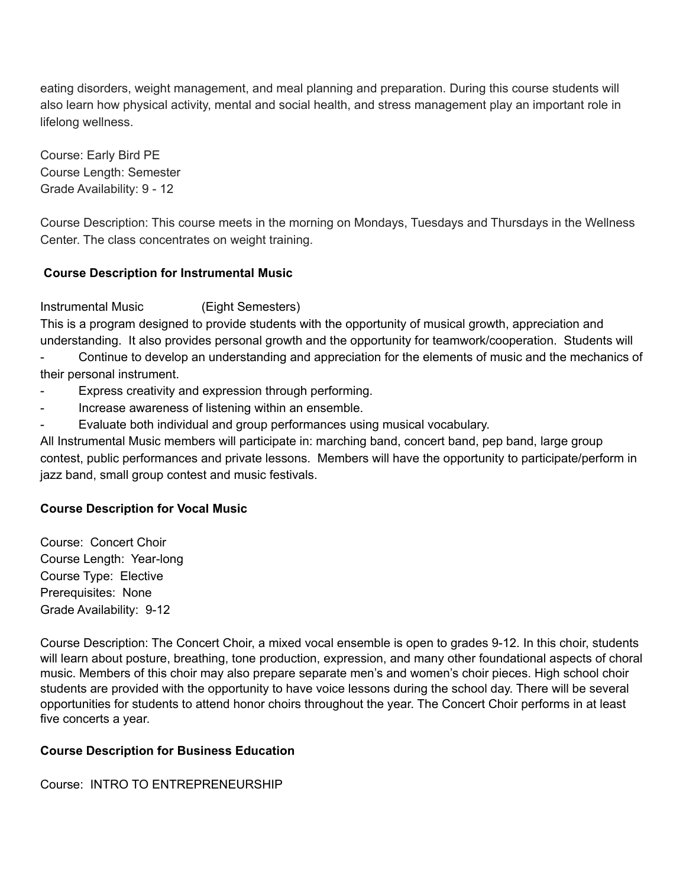eating disorders, weight management, and meal planning and preparation. During this course students will also learn how physical activity, mental and social health, and stress management play an important role in lifelong wellness.

Course: Early Bird PE Course Length: Semester Grade Availability: 9 - 12

Course Description: This course meets in the morning on Mondays, Tuesdays and Thursdays in the Wellness Center. The class concentrates on weight training.

## **Course Description for Instrumental Music**

Instrumental Music (Eight Semesters)

This is a program designed to provide students with the opportunity of musical growth, appreciation and understanding. It also provides personal growth and the opportunity for teamwork/cooperation. Students will

Continue to develop an understanding and appreciation for the elements of music and the mechanics of their personal instrument.

- Express creativity and expression through performing.
- Increase awareness of listening within an ensemble.
- Evaluate both individual and group performances using musical vocabulary.

All Instrumental Music members will participate in: marching band, concert band, pep band, large group contest, public performances and private lessons. Members will have the opportunity to participate/perform in jazz band, small group contest and music festivals.

## **Course Description for Vocal Music**

Course: Concert Choir Course Length: Year-long Course Type: Elective Prerequisites: None Grade Availability: 9-12

Course Description: The Concert Choir, a mixed vocal ensemble is open to grades 9-12. In this choir, students will learn about posture, breathing, tone production, expression, and many other foundational aspects of choral music. Members of this choir may also prepare separate men's and women's choir pieces. High school choir students are provided with the opportunity to have voice lessons during the school day. There will be several opportunities for students to attend honor choirs throughout the year. The Concert Choir performs in at least five concerts a year.

## **Course Description for Business Education**

Course: INTRO TO ENTREPRENEURSHIP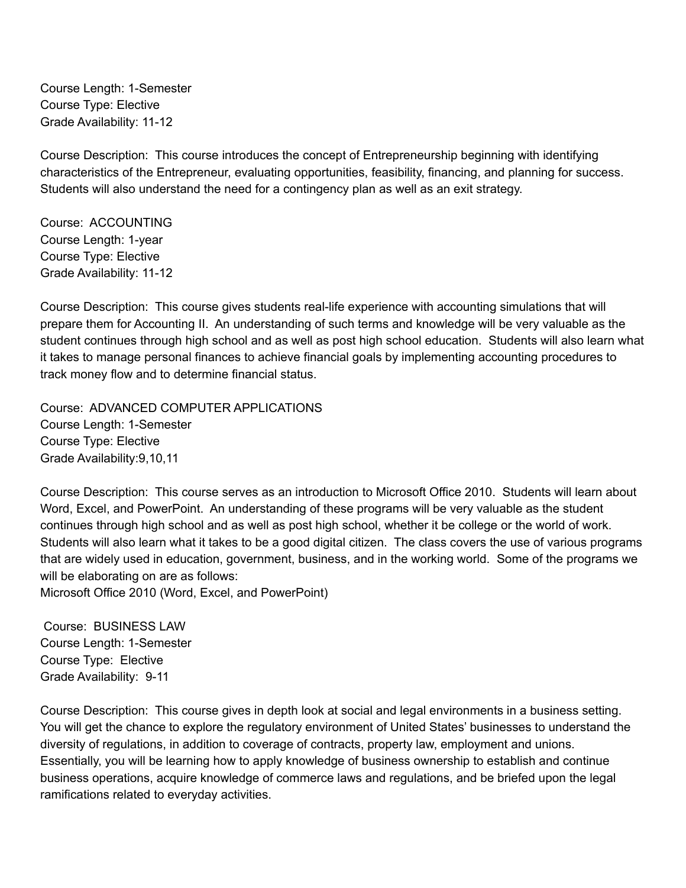Course Length: 1-Semester Course Type: Elective Grade Availability: 11-12

Course Description: This course introduces the concept of Entrepreneurship beginning with identifying characteristics of the Entrepreneur, evaluating opportunities, feasibility, financing, and planning for success. Students will also understand the need for a contingency plan as well as an exit strategy.

Course: ACCOUNTING Course Length: 1-year Course Type: Elective Grade Availability: 11-12

Course Description: This course gives students real-life experience with accounting simulations that will prepare them for Accounting II. An understanding of such terms and knowledge will be very valuable as the student continues through high school and as well as post high school education. Students will also learn what it takes to manage personal finances to achieve financial goals by implementing accounting procedures to track money flow and to determine financial status.

Course: ADVANCED COMPUTER APPLICATIONS Course Length: 1-Semester Course Type: Elective Grade Availability:9,10,11

Course Description: This course serves as an introduction to Microsoft Office 2010. Students will learn about Word, Excel, and PowerPoint. An understanding of these programs will be very valuable as the student continues through high school and as well as post high school, whether it be college or the world of work. Students will also learn what it takes to be a good digital citizen. The class covers the use of various programs that are widely used in education, government, business, and in the working world. Some of the programs we will be elaborating on are as follows:

Microsoft Office 2010 (Word, Excel, and PowerPoint)

Course: BUSINESS LAW Course Length: 1-Semester Course Type: Elective Grade Availability: 9-11

Course Description: This course gives in depth look at social and legal environments in a business setting. You will get the chance to explore the regulatory environment of United States' businesses to understand the diversity of regulations, in addition to coverage of contracts, property law, employment and unions. Essentially, you will be learning how to apply knowledge of business ownership to establish and continue business operations, acquire knowledge of commerce laws and regulations, and be briefed upon the legal ramifications related to everyday activities.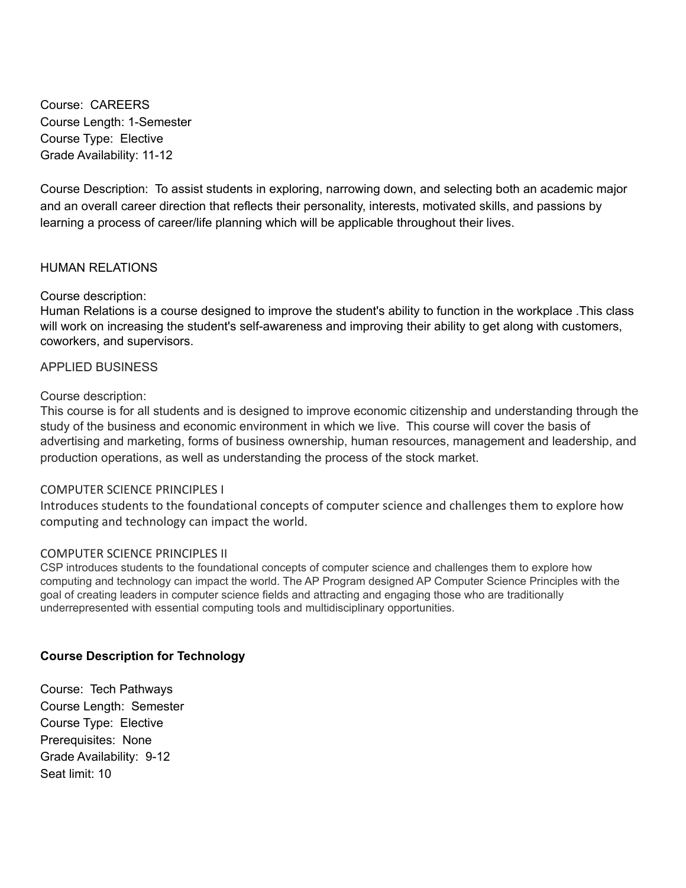Course: CAREERS Course Length: 1-Semester Course Type: Elective Grade Availability: 11-12

Course Description: To assist students in exploring, narrowing down, and selecting both an academic major and an overall career direction that reflects their personality, interests, motivated skills, and passions by learning a process of career/life planning which will be applicable throughout their lives.

### HUMAN RELATIONS

### Course description:

Human Relations is a course designed to improve the student's ability to function in the workplace .This class will work on increasing the student's self-awareness and improving their ability to get along with customers, coworkers, and supervisors.

### APPLIED BUSINESS

### Course description:

This course is for all students and is designed to improve economic citizenship and understanding through the study of the business and economic environment in which we live. This course will cover the basis of advertising and marketing, forms of business ownership, human resources, management and leadership, and production operations, as well as understanding the process of the stock market.

### COMPUTER SCIENCE PRINCIPLES I

Introduces students to the foundational concepts of computer science and challenges them to explore how computing and technology can impact the world.

### COMPUTER SCIENCE PRINCIPLES II

CSP introduces students to the foundational concepts of computer science and challenges them to explore how computing and technology can impact the world. The AP Program designed AP Computer Science Principles with the goal of creating leaders in computer science fields and attracting and engaging those who are traditionally underrepresented with essential computing tools and multidisciplinary opportunities.

### **Course Description for Technology**

Course: Tech Pathways Course Length: Semester Course Type: Elective Prerequisites: None Grade Availability: 9-12 Seat limit: 10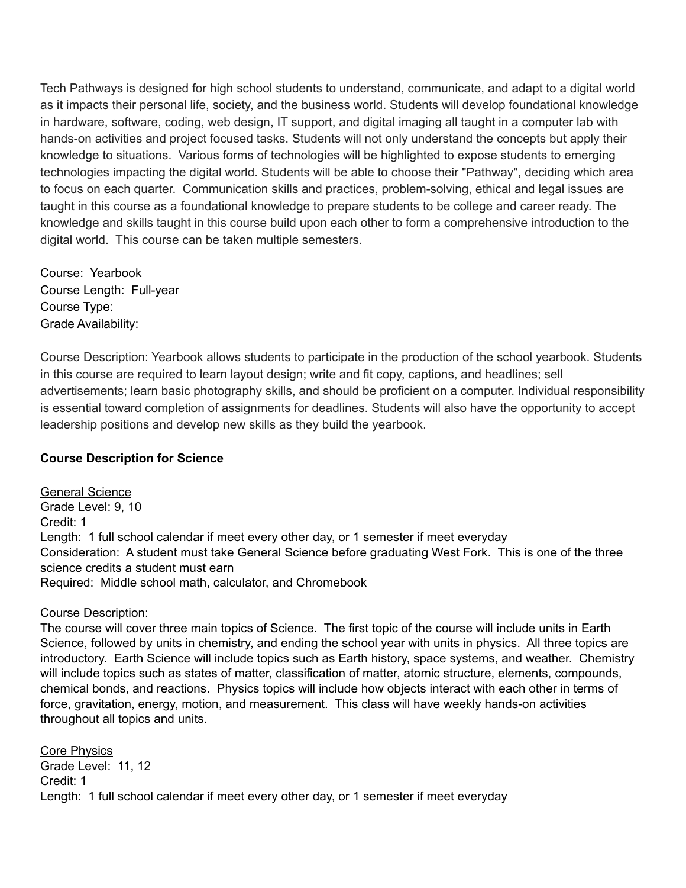Tech Pathways is designed for high school students to understand, communicate, and adapt to a digital world as it impacts their personal life, society, and the business world. Students will develop foundational knowledge in hardware, software, coding, web design, IT support, and digital imaging all taught in a computer lab with hands-on activities and project focused tasks. Students will not only understand the concepts but apply their knowledge to situations. Various forms of technologies will be highlighted to expose students to emerging technologies impacting the digital world. Students will be able to choose their "Pathway", deciding which area to focus on each quarter. Communication skills and practices, problem-solving, ethical and legal issues are taught in this course as a foundational knowledge to prepare students to be college and career ready. The knowledge and skills taught in this course build upon each other to form a comprehensive introduction to the digital world. This course can be taken multiple semesters.

Course: Yearbook Course Length: Full-year Course Type: Grade Availability:

Course Description: Yearbook allows students to participate in the production of the school yearbook. Students in this course are required to learn layout design; write and fit copy, captions, and headlines; sell advertisements; learn basic photography skills, and should be proficient on a computer. Individual responsibility is essential toward completion of assignments for deadlines. Students will also have the opportunity to accept leadership positions and develop new skills as they build the yearbook.

## **Course Description for Science**

General Science Grade Level: 9, 10 Credit: 1 Length: 1 full school calendar if meet every other day, or 1 semester if meet everyday Consideration: A student must take General Science before graduating West Fork. This is one of the three science credits a student must earn Required: Middle school math, calculator, and Chromebook

## Course Description:

The course will cover three main topics of Science. The first topic of the course will include units in Earth Science, followed by units in chemistry, and ending the school year with units in physics. All three topics are introductory. Earth Science will include topics such as Earth history, space systems, and weather. Chemistry will include topics such as states of matter, classification of matter, atomic structure, elements, compounds, chemical bonds, and reactions. Physics topics will include how objects interact with each other in terms of force, gravitation, energy, motion, and measurement. This class will have weekly hands-on activities throughout all topics and units.

Core Physics Grade Level: 11, 12 Credit: 1 Length: 1 full school calendar if meet every other day, or 1 semester if meet everyday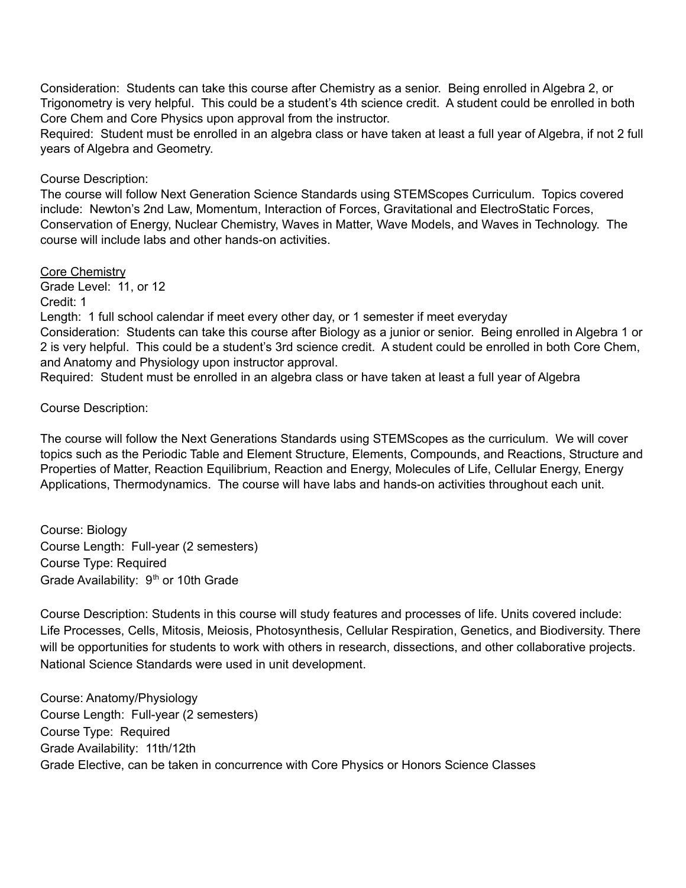Consideration: Students can take this course after Chemistry as a senior. Being enrolled in Algebra 2, or Trigonometry is very helpful. This could be a student's 4th science credit. A student could be enrolled in both Core Chem and Core Physics upon approval from the instructor.

Required: Student must be enrolled in an algebra class or have taken at least a full year of Algebra, if not 2 full years of Algebra and Geometry.

### Course Description:

The course will follow Next Generation Science Standards using STEMScopes Curriculum. Topics covered include: Newton's 2nd Law, Momentum, Interaction of Forces, Gravitational and ElectroStatic Forces, Conservation of Energy, Nuclear Chemistry, Waves in Matter, Wave Models, and Waves in Technology. The course will include labs and other hands-on activities.

Core Chemistry

Grade Level: 11, or 12 Credit: 1

Length: 1 full school calendar if meet every other day, or 1 semester if meet everyday Consideration: Students can take this course after Biology as a junior or senior. Being enrolled in Algebra 1 or 2 is very helpful. This could be a student's 3rd science credit. A student could be enrolled in both Core Chem, and Anatomy and Physiology upon instructor approval.

Required: Student must be enrolled in an algebra class or have taken at least a full year of Algebra

## Course Description:

The course will follow the Next Generations Standards using STEMScopes as the curriculum. We will cover topics such as the Periodic Table and Element Structure, Elements, Compounds, and Reactions, Structure and Properties of Matter, Reaction Equilibrium, Reaction and Energy, Molecules of Life, Cellular Energy, Energy Applications, Thermodynamics. The course will have labs and hands-on activities throughout each unit.

Course: Biology Course Length: Full-year (2 semesters) Course Type: Required Grade Availability: 9<sup>th</sup> or 10th Grade

Course Description: Students in this course will study features and processes of life. Units covered include: Life Processes, Cells, Mitosis, Meiosis, Photosynthesis, Cellular Respiration, Genetics, and Biodiversity. There will be opportunities for students to work with others in research, dissections, and other collaborative projects. National Science Standards were used in unit development.

Course: Anatomy/Physiology Course Length: Full-year (2 semesters) Course Type: Required Grade Availability: 11th/12th Grade Elective, can be taken in concurrence with Core Physics or Honors Science Classes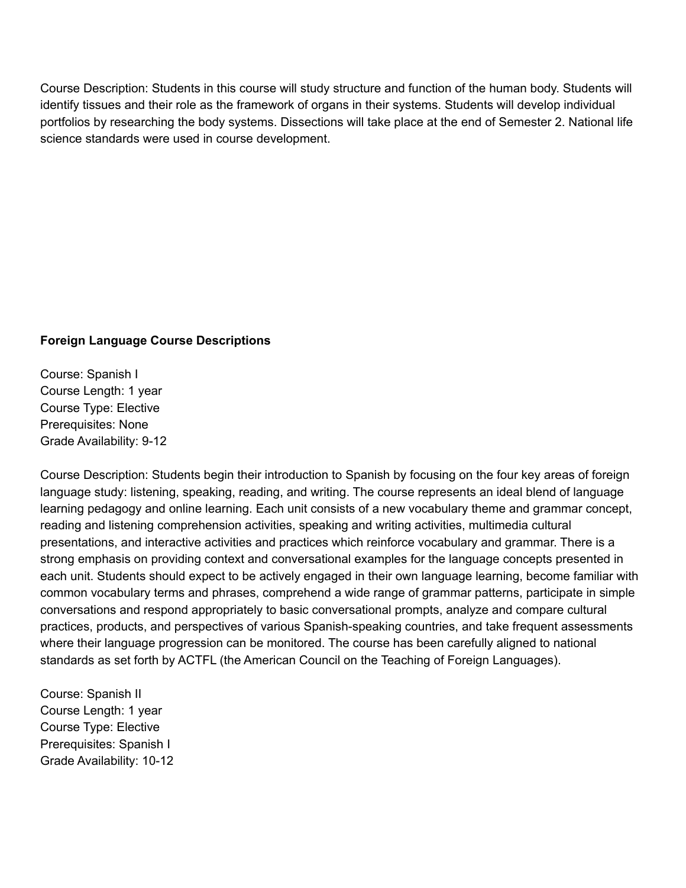Course Description: Students in this course will study structure and function of the human body. Students will identify tissues and their role as the framework of organs in their systems. Students will develop individual portfolios by researching the body systems. Dissections will take place at the end of Semester 2. National life science standards were used in course development.

## **Foreign Language Course Descriptions**

Course: Spanish I Course Length: 1 year Course Type: Elective Prerequisites: None Grade Availability: 9-12

Course Description: Students begin their introduction to Spanish by focusing on the four key areas of foreign language study: listening, speaking, reading, and writing. The course represents an ideal blend of language learning pedagogy and online learning. Each unit consists of a new vocabulary theme and grammar concept, reading and listening comprehension activities, speaking and writing activities, multimedia cultural presentations, and interactive activities and practices which reinforce vocabulary and grammar. There is a strong emphasis on providing context and conversational examples for the language concepts presented in each unit. Students should expect to be actively engaged in their own language learning, become familiar with common vocabulary terms and phrases, comprehend a wide range of grammar patterns, participate in simple conversations and respond appropriately to basic conversational prompts, analyze and compare cultural practices, products, and perspectives of various Spanish-speaking countries, and take frequent assessments where their language progression can be monitored. The course has been carefully aligned to national standards as set forth by ACTFL (the American Council on the Teaching of Foreign Languages).

Course: Spanish II Course Length: 1 year Course Type: Elective Prerequisites: Spanish I Grade Availability: 10-12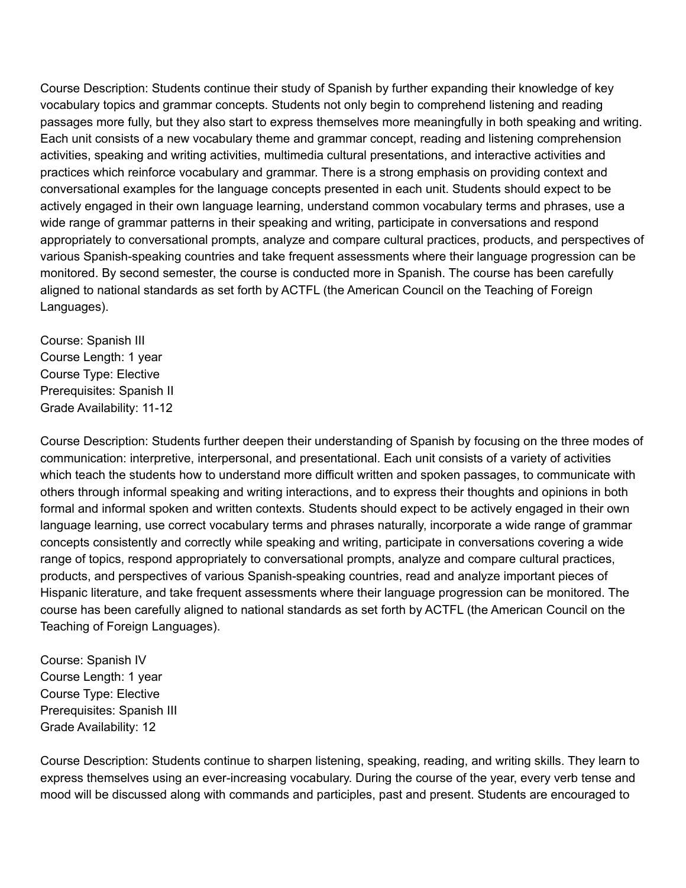Course Description: Students continue their study of Spanish by further expanding their knowledge of key vocabulary topics and grammar concepts. Students not only begin to comprehend listening and reading passages more fully, but they also start to express themselves more meaningfully in both speaking and writing. Each unit consists of a new vocabulary theme and grammar concept, reading and listening comprehension activities, speaking and writing activities, multimedia cultural presentations, and interactive activities and practices which reinforce vocabulary and grammar. There is a strong emphasis on providing context and conversational examples for the language concepts presented in each unit. Students should expect to be actively engaged in their own language learning, understand common vocabulary terms and phrases, use a wide range of grammar patterns in their speaking and writing, participate in conversations and respond appropriately to conversational prompts, analyze and compare cultural practices, products, and perspectives of various Spanish-speaking countries and take frequent assessments where their language progression can be monitored. By second semester, the course is conducted more in Spanish. The course has been carefully aligned to national standards as set forth by ACTFL (the American Council on the Teaching of Foreign Languages).

Course: Spanish III Course Length: 1 year Course Type: Elective Prerequisites: Spanish II Grade Availability: 11-12

Course Description: Students further deepen their understanding of Spanish by focusing on the three modes of communication: interpretive, interpersonal, and presentational. Each unit consists of a variety of activities which teach the students how to understand more difficult written and spoken passages, to communicate with others through informal speaking and writing interactions, and to express their thoughts and opinions in both formal and informal spoken and written contexts. Students should expect to be actively engaged in their own language learning, use correct vocabulary terms and phrases naturally, incorporate a wide range of grammar concepts consistently and correctly while speaking and writing, participate in conversations covering a wide range of topics, respond appropriately to conversational prompts, analyze and compare cultural practices, products, and perspectives of various Spanish-speaking countries, read and analyze important pieces of Hispanic literature, and take frequent assessments where their language progression can be monitored. The course has been carefully aligned to national standards as set forth by ACTFL (the American Council on the Teaching of Foreign Languages).

Course: Spanish IV Course Length: 1 year Course Type: Elective Prerequisites: Spanish III Grade Availability: 12

Course Description: Students continue to sharpen listening, speaking, reading, and writing skills. They learn to express themselves using an ever-increasing vocabulary. During the course of the year, every verb tense and mood will be discussed along with commands and participles, past and present. Students are encouraged to